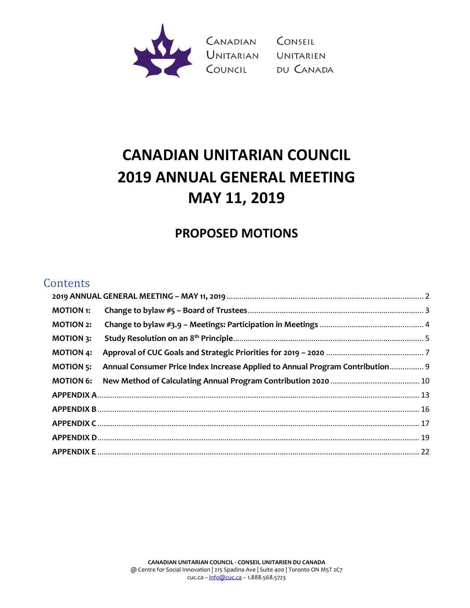

Canadian Conseil<br>Unitarian Unitarien<br>Council du Canada

# **CANADIAN UNITARIAN COUNCIL 2019 ANNUAL GENERAL MEETING MAY 11, 2019**

## **PROPOSED MOTIONS**

## **Contents**

| <b>MOTION 1:</b> |                                                                               |  |
|------------------|-------------------------------------------------------------------------------|--|
| <b>MOTION 2:</b> |                                                                               |  |
| <b>MOTION 3:</b> |                                                                               |  |
| <b>MOTION 4:</b> |                                                                               |  |
| <b>MOTION 5:</b> | Annual Consumer Price Index Increase Applied to Annual Program Contribution 9 |  |
| <b>MOTION 6:</b> |                                                                               |  |
|                  |                                                                               |  |
|                  |                                                                               |  |
|                  |                                                                               |  |
|                  |                                                                               |  |
|                  |                                                                               |  |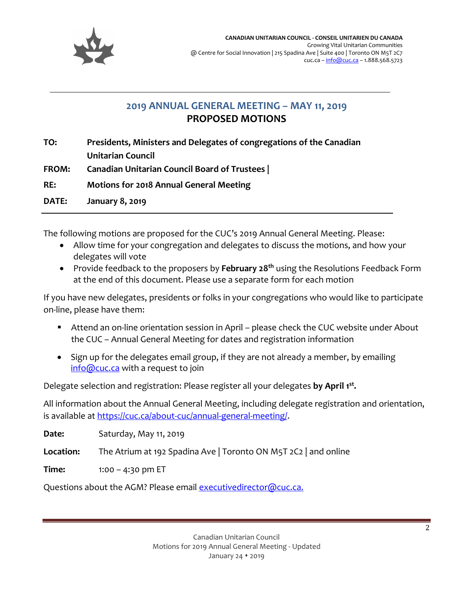

## **2019 ANNUAL GENERAL MEETING – MAY 11, 2019 PROPOSED MOTIONS**

<span id="page-1-0"></span>**TO: Presidents, Ministers and Delegates of congregations of the Canadian Unitarian Council FROM: Canadian Unitarian Council Board of Trustees | RE: Motions for 2018 Annual General Meeting DATE: January 8, 2019**

The following motions are proposed for the CUC's 2019 Annual General Meeting. Please:

- Allow time for your congregation and delegates to discuss the motions, and how your delegates will vote
- Provide feedback to the proposers by **February 28th** using the Resolutions Feedback Form at the end of this document. Please use a separate form for each motion

If you have new delegates, presidents or folks in your congregations who would like to participate on-line, please have them:

- Attend an on-line orientation session in April please check the CUC website under About the CUC – Annual General Meeting for dates and registration information
- Sign up for the delegates email group, if they are not already a member, by emailing [info@cuc.ca](mailto:info@cuc.ca) with a request to join

Delegate selection and registration: Please register all your delegates **by April 1st .**

All information about the Annual General Meeting, including delegate registration and orientation, is available a[t https://cuc.ca/about-cuc/annual-general-meeting/.](https://cuc.ca/about-cuc/annual-general-meeting/)

**Date:** Saturday, May 11, 2019 **Location:** The Atrium at 192 Spadina Ave | Toronto ON M5T 2C2 | and online

**Time:** 1:00 – 4:30 pm ET

Questions about the AGM? Please email [executivedirector@cuc.ca.](mailto:executivedirector@cuc.ca.)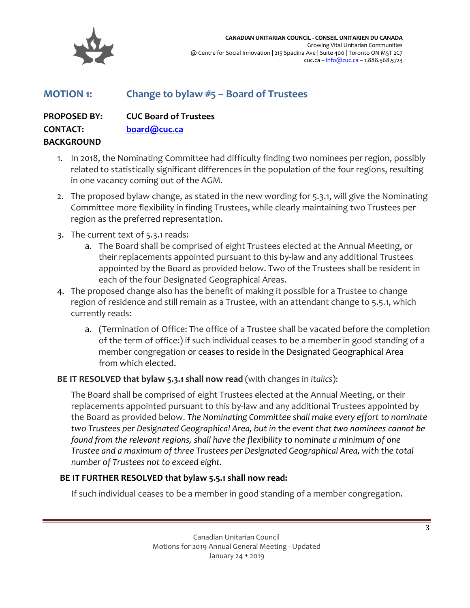

## <span id="page-2-0"></span>**MOTION 1: Change to bylaw #5 – Board of Trustees**

**PROPOSED BY: CUC Board of Trustees CONTACT: [board@cuc.ca](mailto:board@cuc.ca) BACKGROUND**

- 1. In 2018, the Nominating Committee had difficulty finding two nominees per region, possibly related to statistically significant differences in the population of the four regions, resulting in one vacancy coming out of the AGM.
- 2. The proposed bylaw change, as stated in the new wording for 5.3.1, will give the Nominating Committee more flexibility in finding Trustees, while clearly maintaining two Trustees per region as the preferred representation.
- 3. The current text of 5.3.1 reads:
	- a. The Board shall be comprised of eight Trustees elected at the Annual Meeting, or their replacements appointed pursuant to this by-law and any additional Trustees appointed by the Board as provided below. Two of the Trustees shall be resident in each of the four Designated Geographical Areas.
- 4. The proposed change also has the benefit of making it possible for a Trustee to change region of residence and still remain as a Trustee, with an attendant change to 5.5.1, which currently reads:
	- a. (Termination of Office: The office of a Trustee shall be vacated before the completion of the term of office:) if such individual ceases to be a member in good standing of a member congregation or ceases to reside in the Designated Geographical Area from which elected.

#### **BE IT RESOLVED that bylaw 5.3.1 shall now read** (with changes in *italics*):

The Board shall be comprised of eight Trustees elected at the Annual Meeting, or their replacements appointed pursuant to this by-law and any additional Trustees appointed by the Board as provided below. *The Nominating Committee shall make every effort to nominate two Trustees per Designated Geographical Area, but in the event that two nominees cannot be found from the relevant regions, shall have the flexibility to nominate a minimum of one Trustee and a maximum of three Trustees per Designated Geographical Area, with the total number of Trustees not to exceed eight.*

#### **BE IT FURTHER RESOLVED that bylaw 5.5.1 shall now read:**

If such individual ceases to be a member in good standing of a member congregation.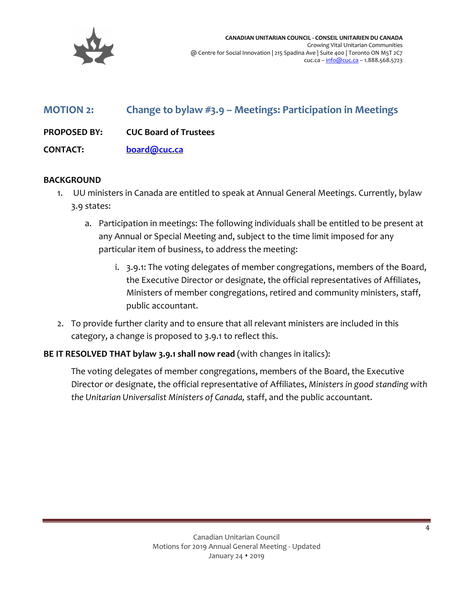

## <span id="page-3-0"></span>**MOTION 2: Change to bylaw #3.9 – Meetings: Participation in Meetings**

**PROPOSED BY: CUC Board of Trustees**

**CONTACT: [board@cuc.ca](mailto:board@cuc.ca)**

#### **BACKGROUND**

- 1. UU ministers in Canada are entitled to speak at Annual General Meetings. Currently, bylaw 3.9 states:
	- a. Participation in meetings: The following individuals shall be entitled to be present at any Annual or Special Meeting and, subject to the time limit imposed for any particular item of business, to address the meeting:
		- i. 3.9.1: The voting delegates of member congregations, members of the Board, the Executive Director or designate, the official representatives of Affiliates, Ministers of member congregations, retired and community ministers, staff, public accountant.
- 2. To provide further clarity and to ensure that all relevant ministers are included in this category, a change is proposed to 3.9.1 to reflect this.

#### **BE IT RESOLVED THAT bylaw 3.9.1 shall now read** (with changes in italics):

The voting delegates of member congregations, members of the Board, the Executive Director or designate, the official representative of Affiliates, *Ministers in good standing with the Unitarian Universalist Ministers of Canada,* staff, and the public accountant.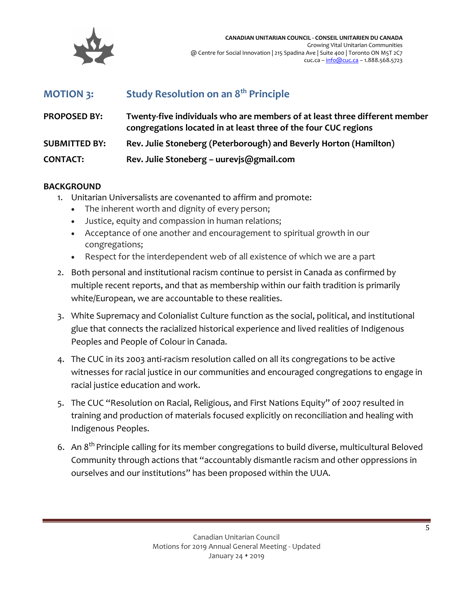

## <span id="page-4-0"></span>**MOTION 3: Study Resolution on an 8th Principle**

| <b>PROPOSED BY:</b>  | Twenty-five individuals who are members of at least three different member<br>congregations located in at least three of the four CUC regions |
|----------------------|-----------------------------------------------------------------------------------------------------------------------------------------------|
| <b>SUBMITTED BY:</b> | Rev. Julie Stoneberg (Peterborough) and Beverly Horton (Hamilton)                                                                             |
| <b>CONTACT:</b>      | Rev. Julie Stoneberg - uurevjs@gmail.com                                                                                                      |

#### **BACKGROUND**

- 1. Unitarian Universalists are covenanted to affirm and promote:
	- The inherent worth and dignity of every person;
	- Justice, equity and compassion in human relations;
	- Acceptance of one another and encouragement to spiritual growth in our congregations;
	- Respect for the interdependent web of all existence of which we are a part
- 2. Both personal and institutional racism continue to persist in Canada as confirmed by multiple recent reports, and that as membership within our faith tradition is primarily white/European, we are accountable to these realities.
- 3. White Supremacy and Colonialist Culture function as the social, political, and institutional glue that connects the racialized historical experience and lived realities of Indigenous Peoples and People of Colour in Canada.
- 4. The CUC in its 2003 anti-racism resolution called on all its congregations to be active witnesses for racial justice in our communities and encouraged congregations to engage in racial justice education and work.
- 5. The CUC "Resolution on Racial, Religious, and First Nations Equity" of 2007 resulted in training and production of materials focused explicitly on reconciliation and healing with Indigenous Peoples.
- 6. An 8<sup>th</sup> Principle calling for its member congregations to build diverse, multicultural Beloved Community through actions that "accountably dismantle racism and other oppressions in ourselves and our institutions" has been proposed within the UUA.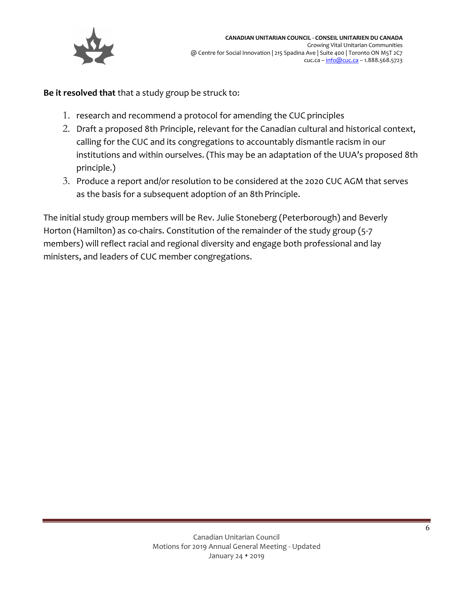

**Be it resolved that** that a study group be struck to:

- 1. research and recommend a protocol for amending the CUC principles
- 2. Draft a proposed 8th Principle, relevant for the Canadian cultural and historical context, calling for the CUC and its congregations to accountably dismantle racism in our institutions and within ourselves. (This may be an adaptation of the UUA's proposed 8th principle.)
- 3. Produce a report and/or resolution to be considered at the 2020 CUC AGM that serves as the basis for a subsequent adoption of an 8th Principle.

The initial study group members will be Rev. Julie Stoneberg (Peterborough) and Beverly Horton (Hamilton) as co-chairs. Constitution of the remainder of the study group (5-7 members) will reflect racial and regional diversity and engage both professional and lay ministers, and leaders of CUC member congregations.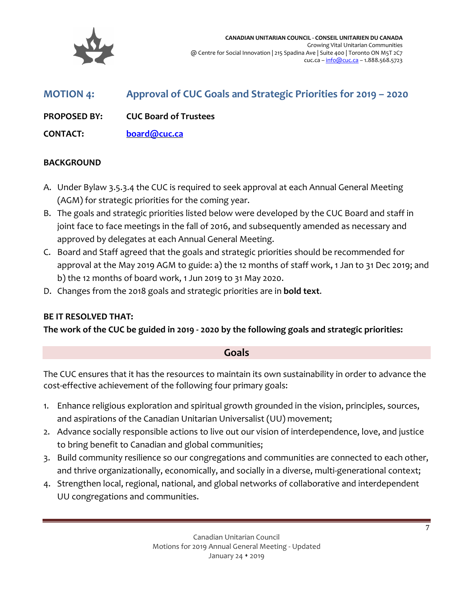

<span id="page-6-0"></span>

| <b>MOTION 4:</b>    | Approval of CUC Goals and Strategic Priorities for 2019 - 2020 |
|---------------------|----------------------------------------------------------------|
| <b>PROPOSED BY:</b> | <b>CUC Board of Trustees</b>                                   |
| <b>CONTACT:</b>     | board@cuc.ca                                                   |

#### **BACKGROUND**

- A. Under Bylaw 3.5.3.4 the CUC is required to seek approval at each Annual General Meeting (AGM) for strategic priorities for the coming year.
- B. The goals and strategic priorities listed below were developed by the CUC Board and staff in joint face to face meetings in the fall of 2016, and subsequently amended as necessary and approved by delegates at each Annual General Meeting.
- C. Board and Staff agreed that the goals and strategic priorities should be recommended for approval at the May 2019 AGM to guide: a) the 12 months of staff work, 1 Jan to 31 Dec 2019; and b) the 12 months of board work, 1 Jun 2019 to 31 May 2020.
- D. Changes from the 2018 goals and strategic priorities are in **bold text**.

#### **BE IT RESOLVED THAT:**

**The work of the CUC be guided in 2019 - 2020 by the following goals and strategic priorities:** 

#### **Goals**

The CUC ensures that it has the resources to maintain its own sustainability in order to advance the cost-effective achievement of the following four primary goals:

- 1. Enhance religious exploration and spiritual growth grounded in the vision, principles, sources, and aspirations of the Canadian Unitarian Universalist (UU) movement;
- 2. Advance socially responsible actions to live out our vision of interdependence, love, and justice to bring benefit to Canadian and global communities;
- 3. Build community resilience so our congregations and communities are connected to each other, and thrive organizationally, economically, and socially in a diverse, multi-generational context;
- 4. Strengthen local, regional, national, and global networks of collaborative and interdependent UU congregations and communities.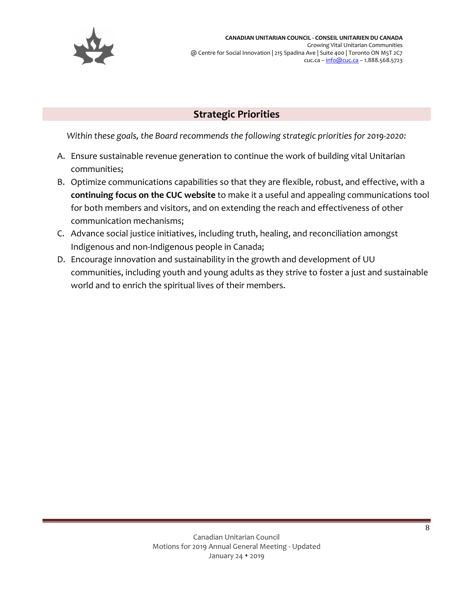

## **Strategic Priorities**

*Within these goals, the Board recommends the following strategic priorities for 2019-2020:*

- A. Ensure sustainable revenue generation to continue the work of building vital Unitarian communities;
- B. Optimize communications capabilities so that they are flexible, robust, and effective, with a **continuing focus on the CUC website** to make it a useful and appealing communications tool for both members and visitors, and on extending the reach and effectiveness of other communication mechanisms;
- C. Advance social justice initiatives, including truth, healing, and reconciliation amongst Indigenous and non-Indigenous people in Canada;
- D. Encourage innovation and sustainability in the growth and development of UU communities, including youth and young adults as they strive to foster a just and sustainable world and to enrich the spiritual lives of their members.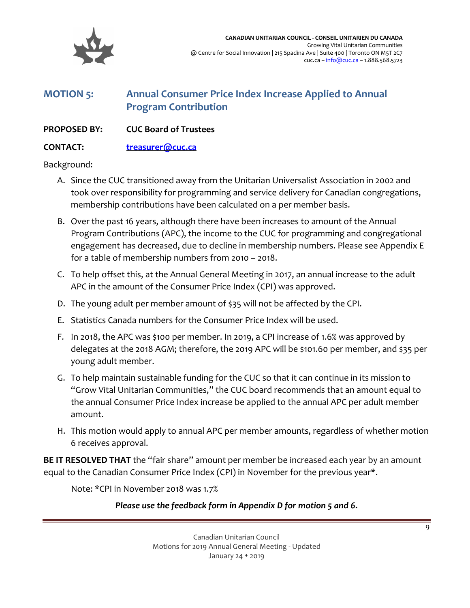

## <span id="page-8-0"></span>**MOTION 5: Annual Consumer Price Index Increase Applied to Annual Program Contribution**

#### **PROPOSED BY: CUC Board of Trustees**

#### **CONTACT: [treasurer@cuc.ca](mailto:treasurer@cuc.ca)**

Background:

- A. Since the CUC transitioned away from the Unitarian Universalist Association in 2002 and took over responsibility for programming and service delivery for Canadian congregations, membership contributions have been calculated on a per member basis.
- B. Over the past 16 years, although there have been increases to amount of the Annual Program Contributions (APC), the income to the CUC for programming and congregational engagement has decreased, due to decline in membership numbers. Please see Appendix E for a table of membership numbers from 2010 – 2018.
- C. To help offset this, at the Annual General Meeting in 2017, an annual increase to the adult APC in the amount of the Consumer Price Index (CPI) was approved.
- D. The young adult per member amount of \$35 will not be affected by the CPI.
- E. Statistics Canada numbers for the Consumer Price Index will be used.
- F. In 2018, the APC was \$100 per member. In 2019, a CPI increase of 1.6% was approved by delegates at the 2018 AGM; therefore, the 2019 APC will be \$101.60 per member, and \$35 per young adult member.
- G. To help maintain sustainable funding for the CUC so that it can continue in its mission to "Grow Vital Unitarian Communities," the CUC board recommends that an amount equal to the annual Consumer Price Index increase be applied to the annual APC per adult member amount.
- H. This motion would apply to annual APC per member amounts, regardless of whether motion 6 receives approval.

**BE IT RESOLVED THAT** the "fair share" amount per member be increased each year by an amount equal to the Canadian Consumer Price Index (CPI) in November for the previous year\*.

Note: \*CPI in November 2018 was 1.7%

#### *Please use the feedback form in Appendix D for motion 5 and 6.*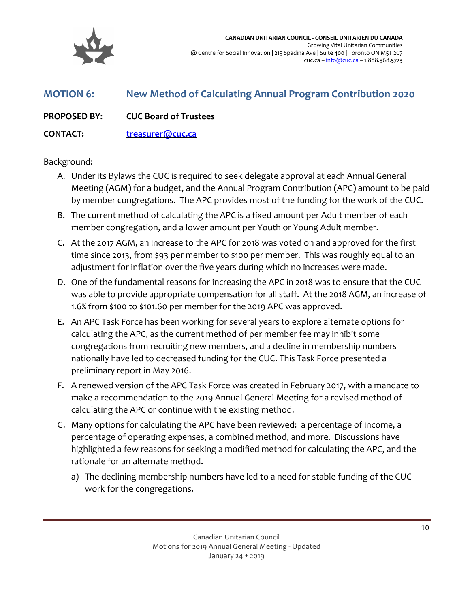

<span id="page-9-0"></span>

| <b>MOTION 6:</b>    | New Method of Calculating Annual Program Contribution 2020 |
|---------------------|------------------------------------------------------------|
| <b>PROPOSED BY:</b> | <b>CUC Board of Trustees</b>                               |

**CONTACT: [treasurer@cuc.ca](mailto:treasurer@cuc.ca)**

#### Background:

- A. Under its Bylaws the CUC is required to seek delegate approval at each Annual General Meeting (AGM) for a budget, and the Annual Program Contribution (APC) amount to be paid by member congregations. The APC provides most of the funding for the work of the CUC.
- B. The current method of calculating the APC is a fixed amount per Adult member of each member congregation, and a lower amount per Youth or Young Adult member.
- C. At the 2017 AGM, an increase to the APC for 2018 was voted on and approved for the first time since 2013, from \$93 per member to \$100 per member. This was roughly equal to an adjustment for inflation over the five years during which no increases were made.
- D. One of the fundamental reasons for increasing the APC in 2018 was to ensure that the CUC was able to provide appropriate compensation for all staff. At the 2018 AGM, an increase of 1.6% from \$100 to \$101.60 per member for the 2019 APC was approved.
- E. An APC Task Force has been working for several years to explore alternate options for calculating the APC, as the current method of per member fee may inhibit some congregations from recruiting new members, and a decline in membership numbers nationally have led to decreased funding for the CUC. This Task Force presented a preliminary report in May 2016.
- F. A renewed version of the APC Task Force was created in February 2017, with a mandate to make a recommendation to the 2019 Annual General Meeting for a revised method of calculating the APC or continue with the existing method.
- G. Many options for calculating the APC have been reviewed: a percentage of income, a percentage of operating expenses, a combined method, and more. Discussions have highlighted a few reasons for seeking a modified method for calculating the APC, and the rationale for an alternate method.
	- a) The declining membership numbers have led to a need for stable funding of the CUC work for the congregations.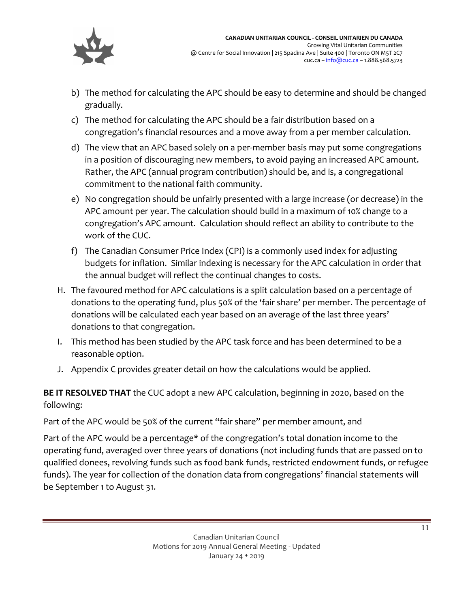

- b) The method for calculating the APC should be easy to determine and should be changed gradually.
- c) The method for calculating the APC should be a fair distribution based on a congregation's financial resources and a move away from a per member calculation.
- d) The view that an APC based solely on a per-member basis may put some congregations in a position of discouraging new members, to avoid paying an increased APC amount. Rather, the APC (annual program contribution) should be, and is, a congregational commitment to the national faith community.
- e) No congregation should be unfairly presented with a large increase (or decrease) in the APC amount per year. The calculation should build in a maximum of 10% change to a congregation's APC amount. Calculation should reflect an ability to contribute to the work of the CUC.
- f) The Canadian Consumer Price Index (CPI) is a commonly used index for adjusting budgets for inflation. Similar indexing is necessary for the APC calculation in order that the annual budget will reflect the continual changes to costs.
- H. The favoured method for APC calculations is a split calculation based on a percentage of donations to the operating fund, plus 50% of the 'fair share' per member. The percentage of donations will be calculated each year based on an average of the last three years' donations to that congregation.
- I. This method has been studied by the APC task force and has been determined to be a reasonable option.
- J. Appendix C provides greater detail on how the calculations would be applied.

**BE IT RESOLVED THAT** the CUC adopt a new APC calculation, beginning in 2020, based on the following:

Part of the APC would be 50% of the current "fair share" per member amount, and

Part of the APC would be a percentage\* of the congregation's total donation income to the operating fund, averaged over three years of donations (not including funds that are passed on to qualified donees, revolving funds such as food bank funds, restricted endowment funds, or refugee funds). The year for collection of the donation data from congregations' financial statements will be September 1 to August 31.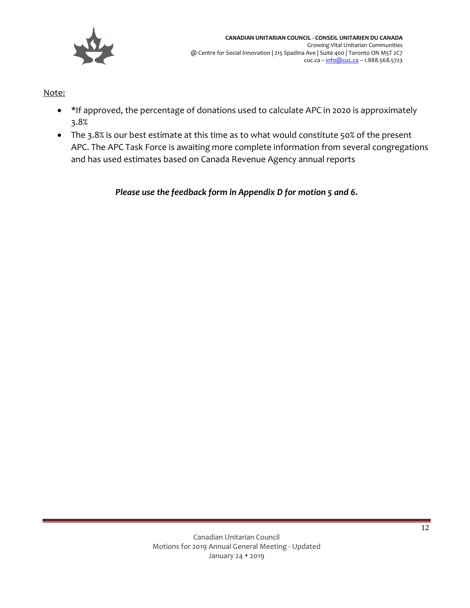

Note:

- \*If approved, the percentage of donations used to calculate APC in 2020 is approximately 3.8%
- The 3.8% is our best estimate at this time as to what would constitute 50% of the present APC. The APC Task Force is awaiting more complete information from several congregations and has used estimates based on Canada Revenue Agency annual reports

*Please use the feedback form in Appendix D for motion 5 and 6.*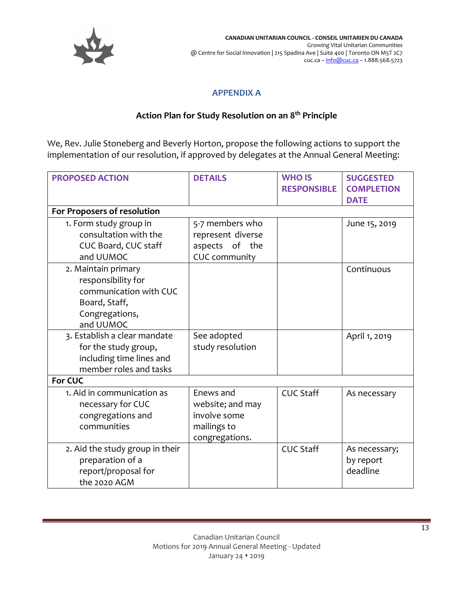

#### **APPENDIX A**

#### **Action Plan for Study Resolution on an 8 th Principle**

<span id="page-12-0"></span>We, Rev. Julie Stoneberg and Beverly Horton, propose the following actions to support the implementation of our resolution, if approved by delegates at the Annual General Meeting:

| <b>PROPOSED ACTION</b>                                                                                              | <b>DETAILS</b>                                                                 | <b>WHO IS</b><br><b>RESPONSIBLE</b> | <b>SUGGESTED</b><br><b>COMPLETION</b>  |
|---------------------------------------------------------------------------------------------------------------------|--------------------------------------------------------------------------------|-------------------------------------|----------------------------------------|
|                                                                                                                     |                                                                                |                                     | <b>DATE</b>                            |
| For Proposers of resolution                                                                                         |                                                                                |                                     |                                        |
| 1. Form study group in<br>consultation with the<br>CUC Board, CUC staff<br>and UUMOC                                | 5-7 members who<br>represent diverse<br>aspects of the<br><b>CUC</b> community |                                     | June 15, 2019                          |
| 2. Maintain primary<br>responsibility for<br>communication with CUC<br>Board, Staff,<br>Congregations,<br>and UUMOC |                                                                                |                                     | Continuous                             |
| 3. Establish a clear mandate<br>for the study group,<br>including time lines and<br>member roles and tasks          | See adopted<br>study resolution                                                |                                     | April 1, 2019                          |
| For CUC                                                                                                             |                                                                                |                                     |                                        |
| 1. Aid in communication as<br>necessary for CUC<br>congregations and<br>communities                                 | Enews and<br>website; and may<br>involve some<br>mailings to<br>congregations. | <b>CUC Staff</b>                    | As necessary                           |
| 2. Aid the study group in their<br>preparation of a<br>report/proposal for<br>the 2020 AGM                          |                                                                                | <b>CUC Staff</b>                    | As necessary;<br>by report<br>deadline |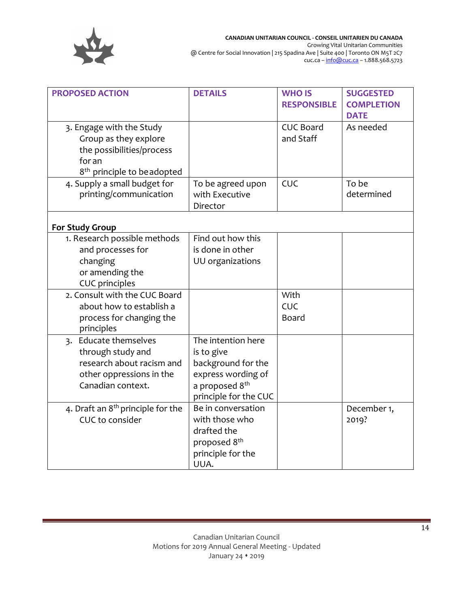

| <b>PROPOSED ACTION</b>                                                                                                             | <b>DETAILS</b>                                                                                                                      | <b>WHO IS</b><br><b>RESPONSIBLE</b> | <b>SUGGESTED</b><br><b>COMPLETION</b><br><b>DATE</b> |
|------------------------------------------------------------------------------------------------------------------------------------|-------------------------------------------------------------------------------------------------------------------------------------|-------------------------------------|------------------------------------------------------|
| 3. Engage with the Study<br>Group as they explore<br>the possibilities/process<br>for an<br>8 <sup>th</sup> principle to beadopted |                                                                                                                                     | <b>CUC Board</b><br>and Staff       | As needed                                            |
| 4. Supply a small budget for<br>printing/communication                                                                             | To be agreed upon<br>with Executive<br>Director                                                                                     | CUC                                 | To be<br>determined                                  |
| <b>For Study Group</b>                                                                                                             |                                                                                                                                     |                                     |                                                      |
| 1. Research possible methods<br>and processes for<br>changing<br>or amending the<br><b>CUC</b> principles                          | Find out how this<br>is done in other<br>UU organizations                                                                           |                                     |                                                      |
| 2. Consult with the CUC Board<br>about how to establish a<br>process for changing the<br>principles                                |                                                                                                                                     | With<br>CUC<br>Board                |                                                      |
| 3. Educate themselves<br>through study and<br>research about racism and<br>other oppressions in the<br>Canadian context.           | The intention here<br>is to give<br>background for the<br>express wording of<br>a proposed 8 <sup>th</sup><br>principle for the CUC |                                     |                                                      |
| 4. Draft an 8 <sup>th</sup> principle for the<br>CUC to consider                                                                   | Be in conversation<br>with those who<br>drafted the<br>proposed 8 <sup>th</sup><br>principle for the<br>UUA.                        |                                     | December 1,<br>2019?                                 |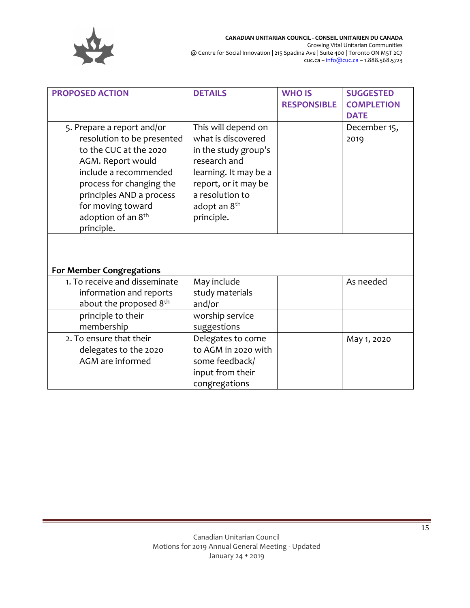

| <b>PROPOSED ACTION</b>                                                                                                                                                                                                                                        | <b>DETAILS</b>                                                                                                                                                                                  | <b>WHO IS</b><br><b>RESPONSIBLE</b> | <b>SUGGESTED</b><br><b>COMPLETION</b><br><b>DATE</b> |
|---------------------------------------------------------------------------------------------------------------------------------------------------------------------------------------------------------------------------------------------------------------|-------------------------------------------------------------------------------------------------------------------------------------------------------------------------------------------------|-------------------------------------|------------------------------------------------------|
| 5. Prepare a report and/or<br>resolution to be presented<br>to the CUC at the 2020<br>AGM. Report would<br>include a recommended<br>process for changing the<br>principles AND a process<br>for moving toward<br>adoption of an 8 <sup>th</sup><br>principle. | This will depend on<br>what is discovered<br>in the study group's<br>research and<br>learning. It may be a<br>report, or it may be<br>a resolution to<br>adopt an 8 <sup>th</sup><br>principle. |                                     | December 15,<br>2019                                 |
| <b>For Member Congregations</b>                                                                                                                                                                                                                               |                                                                                                                                                                                                 |                                     |                                                      |
| 1. To receive and disseminate<br>information and reports<br>about the proposed 8th                                                                                                                                                                            | May include<br>study materials<br>and/or                                                                                                                                                        |                                     | As needed                                            |
| principle to their<br>membership                                                                                                                                                                                                                              | worship service<br>suggestions                                                                                                                                                                  |                                     |                                                      |
| 2. To ensure that their<br>delegates to the 2020<br>AGM are informed                                                                                                                                                                                          | Delegates to come<br>to AGM in 2020 with<br>some feedback/<br>input from their<br>congregations                                                                                                 |                                     | May 1, 2020                                          |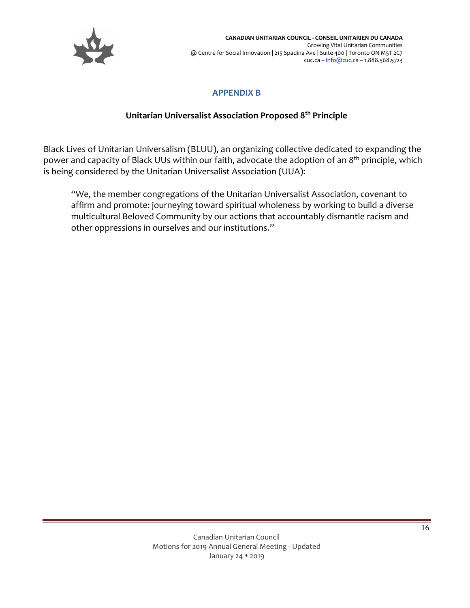

#### **APPENDIX B**

#### **Unitarian Universalist Association Proposed 8 th Principle**

<span id="page-15-0"></span>Black Lives of Unitarian Universalism (BLUU), an organizing collective dedicated to expanding the power and capacity of Black UUs within our faith, advocate the adoption of an 8<sup>th</sup> principle, which is being considered by the Unitarian Universalist Association (UUA):

"We, the member congregations of the Unitarian Universalist Association, covenant to affirm and promote: journeying toward spiritual wholeness by working to build a diverse multicultural Beloved Community by our actions that accountably dismantle racism and other oppressions in ourselves and our institutions."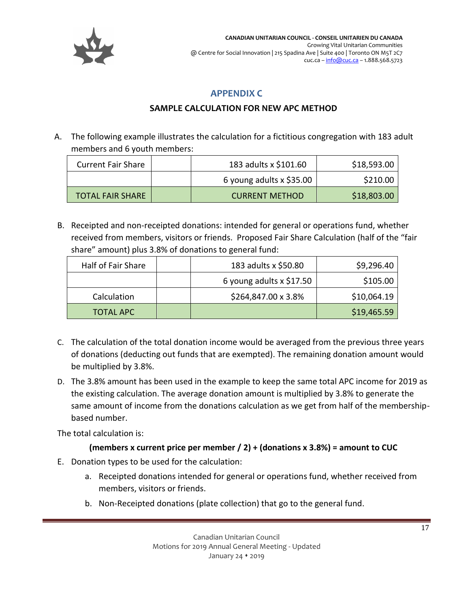

#### **APPENDIX C**

#### **SAMPLE CALCULATION FOR NEW APC METHOD**

<span id="page-16-0"></span>A. The following example illustrates the calculation for a fictitious congregation with 183 adult members and 6 youth members:

| <b>Current Fair Share</b> | 183 adults x \$101.60      | \$18,593.00 |
|---------------------------|----------------------------|-------------|
|                           | 6 young adults $x$ \$35.00 | \$210.00    |
| <b>TOTAL FAIR SHARE</b>   | <b>CURRENT METHOD</b>      | \$18,803.00 |

B. Receipted and non-receipted donations: intended for general or operations fund, whether received from members, visitors or friends. Proposed Fair Share Calculation (half of the "fair share" amount) plus 3.8% of donations to general fund:

| Half of Fair Share | 183 adults x \$50.80       | \$9,296.40  |
|--------------------|----------------------------|-------------|
|                    | 6 young adults $x$ \$17.50 | \$105.00    |
| Calculation        | \$264,847.00 x 3.8%        | \$10,064.19 |
| <b>TOTAL APC</b>   |                            | \$19,465.59 |

- C. The calculation of the total donation income would be averaged from the previous three years of donations (deducting out funds that are exempted). The remaining donation amount would be multiplied by 3.8%.
- D. The 3.8% amount has been used in the example to keep the same total APC income for 2019 as the existing calculation. The average donation amount is multiplied by 3.8% to generate the same amount of income from the donations calculation as we get from half of the membershipbased number.

The total calculation is:

#### **(members x current price per member / 2) + (donations x 3.8%) = amount to CUC**

- E. Donation types to be used for the calculation:
	- a. Receipted donations intended for general or operations fund, whether received from members, visitors or friends.
	- b. Non-Receipted donations (plate collection) that go to the general fund.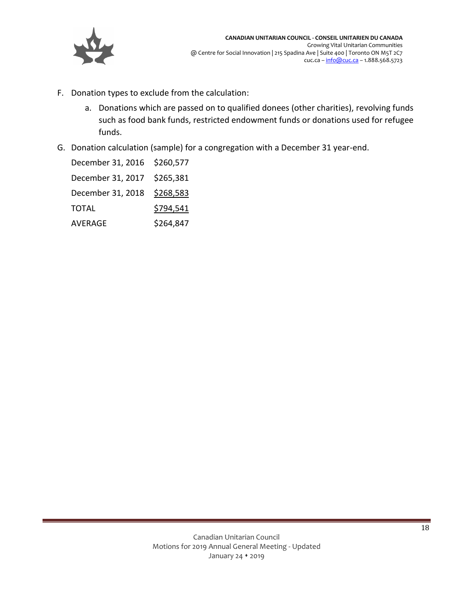

- F. Donation types to exclude from the calculation:
	- a. Donations which are passed on to qualified donees (other charities), revolving funds such as food bank funds, restricted endowment funds or donations used for refugee funds.
- G. Donation calculation (sample) for a congregation with a December 31 year-end.

| December 31, 2016 \$260,577 |           |
|-----------------------------|-----------|
| December 31, 2017 \$265,381 |           |
| December 31, 2018 \$268,583 |           |
| TOTAL                       | \$794,541 |
| AVERAGE                     | \$264,847 |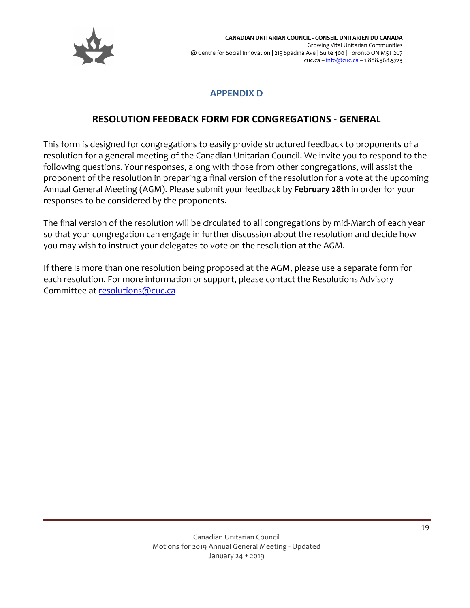

## **APPENDIX D**

## **RESOLUTION FEEDBACK FORM FOR CONGREGATIONS - GENERAL**

<span id="page-18-0"></span>This form is designed for congregations to easily provide structured feedback to proponents of a resolution for a general meeting of the Canadian Unitarian Council. We invite you to respond to the following questions. Your responses, along with those from other congregations, will assist the proponent of the resolution in preparing a final version of the resolution for a vote at the upcoming Annual General Meeting (AGM). Please submit your feedback by **February 28th** in order for your responses to be considered by the proponents.

The final version of the resolution will be circulated to all congregations by mid-March of each year so that your congregation can engage in further discussion about the resolution and decide how you may wish to instruct your delegates to vote on the resolution at the AGM.

If there is more than one resolution being proposed at the AGM, please use a separate form for each resolution. For more information or support, please contact the Resolutions Advisory Committee at [resolutions@cuc.ca](mailto:resolutions@cuc.ca)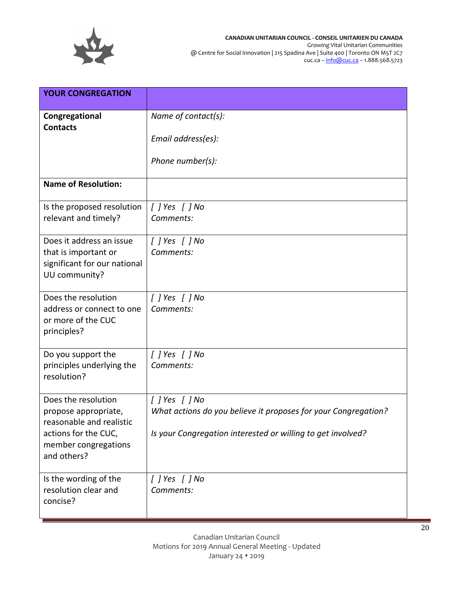

**CANADIAN UNITARIAN COUNCIL - CONSEIL UNITARIEN DU CANADA** Growing Vital Unitarian Communities @ Centre for Social Innovation | 215 Spadina Ave | Suite 400 | Toronto ON M5T 2C7 cuc.ca – <u>[info@cuc.ca](mailto:info@cuc.ca)</u> – 1.888.568.5723

| <b>YOUR CONGREGATION</b>                                                                                                               |                                                                                                                                                         |
|----------------------------------------------------------------------------------------------------------------------------------------|---------------------------------------------------------------------------------------------------------------------------------------------------------|
| Congregational<br><b>Contacts</b>                                                                                                      | Name of contact(s):                                                                                                                                     |
|                                                                                                                                        | Email address(es):                                                                                                                                      |
|                                                                                                                                        | Phone number(s):                                                                                                                                        |
| <b>Name of Resolution:</b>                                                                                                             |                                                                                                                                                         |
| Is the proposed resolution<br>relevant and timely?                                                                                     | $[$ $]$ Yes $[$ $]$ No<br>Comments:                                                                                                                     |
| Does it address an issue<br>that is important or<br>significant for our national<br>UU community?                                      | [] Yes [] No<br>Comments:                                                                                                                               |
| Does the resolution<br>address or connect to one<br>or more of the CUC<br>principles?                                                  | $[$ $]$ Yes $[$ $]$ No<br>Comments:                                                                                                                     |
| Do you support the<br>principles underlying the<br>resolution?                                                                         | $[$ $]$ Yes $[$ $]$ No<br>Comments:                                                                                                                     |
| Does the resolution<br>propose appropriate,<br>reasonable and realistic<br>actions for the CUC,<br>member congregations<br>and others? | $[$ $]$ Yes $[$ $]$ No<br>What actions do you believe it proposes for your Congregation?<br>Is your Congregation interested or willing to get involved? |
| Is the wording of the<br>resolution clear and<br>concise?                                                                              | $[$ $]$ Yes $[$ $]$ No<br>Comments:                                                                                                                     |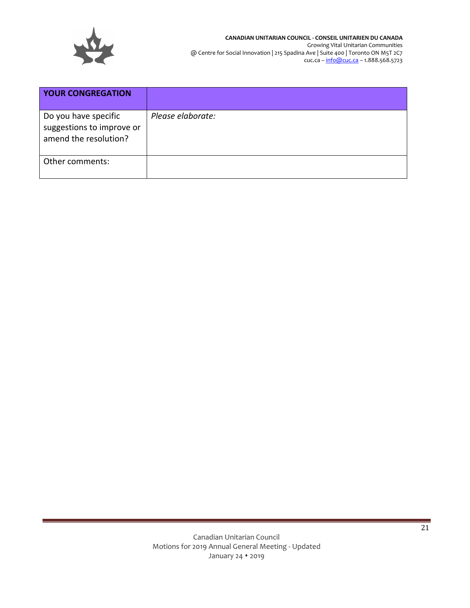

| <b>YOUR CONGREGATION</b>                                                   |                   |
|----------------------------------------------------------------------------|-------------------|
| Do you have specific<br>suggestions to improve or<br>amend the resolution? | Please elaborate: |
| Other comments:                                                            |                   |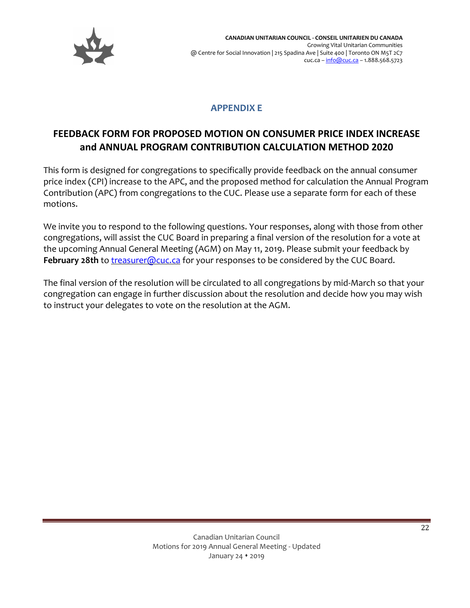

### **APPENDIX E**

## <span id="page-21-0"></span>**FEEDBACK FORM FOR PROPOSED MOTION ON CONSUMER PRICE INDEX INCREASE and ANNUAL PROGRAM CONTRIBUTION CALCULATION METHOD 2020**

This form is designed for congregations to specifically provide feedback on the annual consumer price index (CPI) increase to the APC, and the proposed method for calculation the Annual Program Contribution (APC) from congregations to the CUC. Please use a separate form for each of these motions.

We invite you to respond to the following questions. Your responses, along with those from other congregations, will assist the CUC Board in preparing a final version of the resolution for a vote at the upcoming Annual General Meeting (AGM) on May 11, 2019. Please submit your feedback by February 28th to [treasurer@cuc.ca](mailto:treasurer@cuc.ca) for your responses to be considered by the CUC Board.

The final version of the resolution will be circulated to all congregations by mid-March so that your congregation can engage in further discussion about the resolution and decide how you may wish to instruct your delegates to vote on the resolution at the AGM.